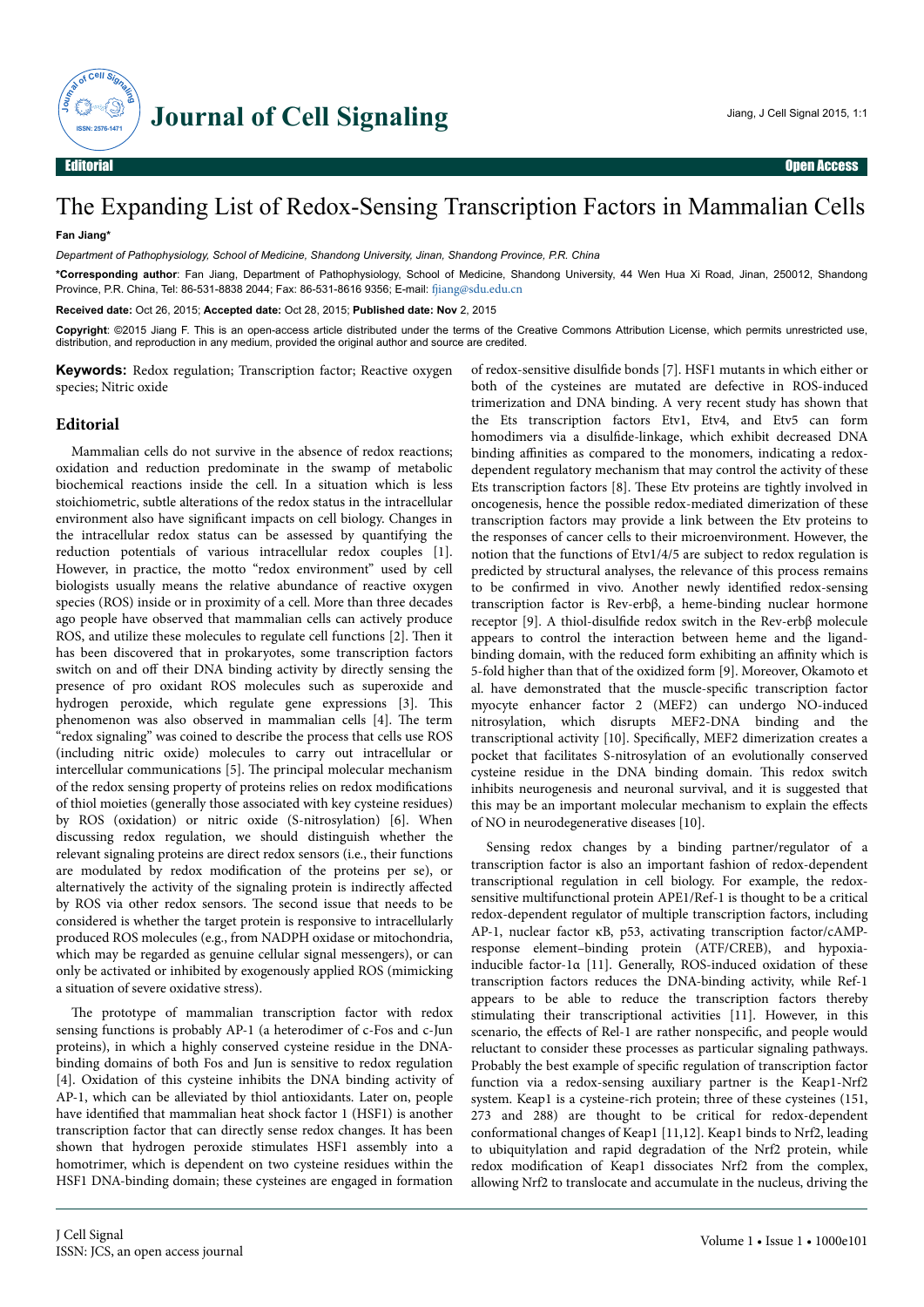

## The Expanding List of Redox-Sensing Transcription Factors in Mammalian Cells

## **Fan Jiang\***

*Department of Pathophysiology, School of Medicine, Shandong University, Jinan, Shandong Province, P.R. China*

**\*Corresponding author**: Fan Jiang, Department of Pathophysiology, School of Medicine, Shandong University, 44 Wen Hua Xi Road, Jinan, 250012, Shandong Province, P.R. China, Tel: 86-531-8838 2044; Fax: 86-531-8616 9356; E-mail: filang@sdu.edu.cn

**Received date:** Oct 26, 2015; **Accepted date:** Oct 28, 2015; **Published date: Nov** 2, 2015

**Copyright**: ©2015 Jiang F. This is an open-access article distributed under the terms of the Creative Commons Attribution License, which permits unrestricted use, distribution, and reproduction in any medium, provided the original author and source are credited.

**Keywords:** Redox regulation; Transcription factor; Reactive oxygen species; Nitric oxide

## **Editorial**

Mammalian cells do not survive in the absence of redox reactions; oxidation and reduction predominate in the swamp of metabolic biochemical reactions inside the cell. In a situation which is less stoichiometric, subtle alterations of the redox status in the intracellular environment also have significant impacts on cell biology. Changes in the intracellular redox status can be assessed by quantifying the reduction potentials of various intracellular redox couples [1]. However, in practice, the motto "redox environment" used by cell biologists usually means the relative abundance of reactive oxygen species (ROS) inside or in proximity of a cell. More than three decades ago people have observed that mammalian cells can actively produce ROS, and utilize these molecules to regulate cell functions [2]. Нen it has been discovered that in prokaryotes, some transcription factors switch on and off their DNA binding activity by directly sensing the presence of pro oxidant ROS molecules such as superoxide and hydrogen peroxide, which regulate gene expressions [3]. Нis phenomenon was also observed in mammalian cells [4]. Нe term "redox signaling" was coined to describe the process that cells use ROS (including nitric oxide) molecules to carry out intracellular or intercellular communications [5]. Нe principal molecular mechanism of the redox sensing property of proteins relies on redox modifications of thiol moieties (generally those associated with key cysteine residues) by ROS (oxidation) or nitric oxide (S-nitrosylation) [6]. When discussing redox regulation, we should distinguish whether the relevant signaling proteins are direct redox sensors (i.e., their functions are modulated by redox modification of the proteins per se), or alternatively the activity of the signaling protein is indirectly affected by ROS via other redox sensors. Нe second issue that needs to be considered is whether the target protein is responsive to intracellularly produced ROS molecules (e.g., from NADPH oxidase or mitochondria, which may be regarded as genuine cellular signal messengers), or can only be activated or inhibited by exogenously applied ROS (mimicking a situation of severe oxidative stress).

The prototype of mammalian transcription factor with redox sensing functions is probably AP-1 (a heterodimer of c-Fos and c-Jun proteins), in which a highly conserved cysteine residue in the DNAbinding domains of both Fos and Jun is sensitive to redox regulation [4]. Oxidation of this cysteine inhibits the DNA binding activity of AP-1, which can be alleviated by thiol antioxidants. Later on, people have identified that mammalian heat shock factor 1 (HSF1) is another transcription factor that can directly sense redox changes. It has been shown that hydrogen peroxide stimulates HSF1 assembly into a homotrimer, which is dependent on two cysteine residues within the HSF1 DNA-binding domain; these cysteines are engaged in formation

of redox-sensitive disulfide bonds [7]. HSF1 mutants in which either or both of the cysteines are mutated are defective in ROS-induced trimerization and DNA binding. A very recent study has shown that the Ets transcription factors Etv1, Etv4, and Etv5 can form homodimers via a disulfide-linkage, which exhibit decreased DNA binding affinities as compared to the monomers, indicating a redoxdependent regulatory mechanism that may control the activity of these Ets transcription factors [8]. Нese Etv proteins are tightly involved in oncogenesis, hence the possible redox-mediated dimerization of these transcription factors may provide a link between the Etv proteins to the responses of cancer cells to their microenvironment. However, the notion that the functions of Etv1/4/5 are subject to redox regulation is predicted by structural analyses, the relevance of this process remains to be confirmed in vivo. Another newly identified redox-sensing transcription factor is Rev-erbβ, a heme-binding nuclear hormone receptor [9]. A thiol-disulfide redox switch in the Rev-erbβ molecule appears to control the interaction between heme and the ligandbinding domain, with the reduced form exhibiting an affinity which is 5-fold higher than that of the oxidized form [9]. Moreover, Okamoto et al. have demonstrated that the muscle-specific transcription factor myocyte enhancer factor 2 (MEF2) can undergo NO-induced nitrosylation, which disrupts MEF2-DNA binding and the transcriptional activity [10]. Specifically, MEF2 dimerization creates a pocket that facilitates S-nitrosylation of an evolutionally conserved cysteine residue in the DNA binding domain. Нis redox switch inhibits neurogenesis and neuronal survival, and it is suggested that this may be an important molecular mechanism to explain the effects of NO in neurodegenerative diseases [10].

Sensing redox changes by a binding partner/regulator of a transcription factor is also an important fashion of redox-dependent transcriptional regulation in cell biology. For example, the redoxsensitive multifunctional protein APE1/Ref-1 is thought to be a critical redox-dependent regulator of multiple transcription factors, including AP-1, nuclear factor κB, p53, activating transcription factor/cAMPresponse element–binding protein (ATF/CREB), and hypoxiainducible factor-1α [11]. Generally, ROS-induced oxidation of these transcription factors reduces the DNA-binding activity, while Ref-1 appears to be able to reduce the transcription factors thereby stimulating their transcriptional activities [11]. However, in this scenario, the effects of Rel-1 are rather nonspecific, and people would reluctant to consider these processes as particular signaling pathways. Probably the best example of specific regulation of transcription factor function via a redox-sensing auxiliary partner is the Keap1-Nrf2 system. Keap1 is a cysteine-rich protein; three of these cysteines (151, 273 and 288) are thought to be critical for redox-dependent conformational changes of Keap1 [11,12]. Keap1 binds to Nrf2, leading to ubiquitylation and rapid degradation of the Nrf2 protein, while redox modification of Keap1 dissociates Nrf2 from the complex, allowing Nrf2 to translocate and accumulate in the nucleus, driving the